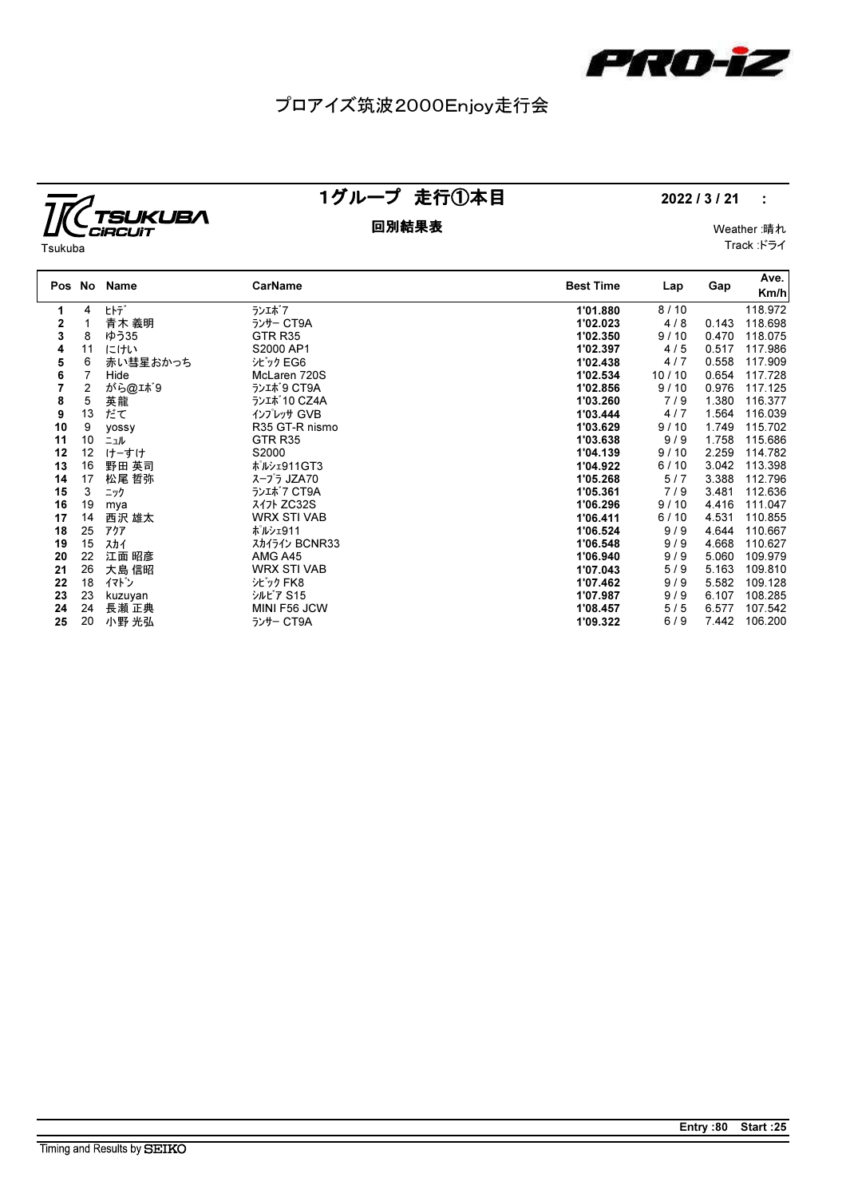

## プロアイズ筑波2000Enjoy走行会

### TSUKUBA CIRCUIT Tsukuba

### 1グループ 走行①本目 2022 / 3 / 21 :

回別結果表 Weather :晴れ Track :ドライ

| Pos No |                | Name     | CarName            | <b>Best Time</b> | Lap   | Gap   | Ave.<br>Km/h |
|--------|----------------|----------|--------------------|------------------|-------|-------|--------------|
| 1      | 4              | ヒトデ゛     | ランエボフ              | 1'01.880         | 8/10  |       | 118.972      |
| 2      | 1              | 青木 義明    | ランサー CT9A          | 1'02.023         | 4/8   | 0.143 | 118.698      |
| 3      | 8              | ゆう35     | GTR <sub>R35</sub> | 1'02.350         | 9/10  | 0.470 | 118.075      |
| 4      | 11             | にけい      | S2000 AP1          | 1'02.397         | 4/5   | 0.517 | 117.986      |
| 5      | 6              | 赤い彗星おかっち | シビック EG6           | 1'02.438         | 4/7   | 0.558 | 117.909      |
| 6      | 7              | Hide     | McLaren 720S       | 1'02.534         | 10/10 | 0.654 | 117.728      |
| 7      | $\overline{2}$ | がら@エボ9   | ランエポ 9 CT9A        | 1'02.856         | 9/10  | 0.976 | 117.125      |
| 8      | 5              | 英龍       | ランエポ10 CZ4A        | 1'03.260         | 7/9   | 1.380 | 116.377      |
| 9      | 13             | だて       | インプレッサ GVB         | 1'03.444         | 4/7   | 1.564 | 116.039      |
| 10     | 9              | yossy    | R35 GT-R nismo     | 1'03.629         | 9/10  | 1.749 | 115.702      |
| 11     | 10             | ニュル      | GTR <sub>R35</sub> | 1'03.638         | 9/9   | 1.758 | 115.686      |
| 12     | 12             | けーすけ     | S2000              | 1'04.139         | 9/10  | 2.259 | 114.782      |
| 13     | 16             | 野田 英司    | ポルシェ911GT3         | 1'04.922         | 6/10  | 3.042 | 113.398      |
| 14     | 17             | 松尾 哲弥    | スープラ JZA70         | 1'05.268         | 5/7   | 3.388 | 112.796      |
| 15     | 3              | ニック      | ランエポフ CT9A         | 1'05.361         | 7/9   | 3.481 | 112.636      |
| 16     | 19             | mya      | スイフト ZC32S         | 1'06.296         | 9/10  | 4.416 | 111.047      |
| 17     | 14             | 西沢 雄太    | <b>WRX STI VAB</b> | 1'06.411         | 6/10  | 4.531 | 110.855      |
| 18     | 25             | アクア      | ポルシェ911            | 1'06.524         | 9/9   | 4.644 | 110.667      |
| 19     | 15             | スカイ      | スカイライン BCNR33      | 1'06.548         | 9/9   | 4.668 | 110.627      |
| 20     | 22             | 江面 昭彦    | AMG A45            | 1'06.940         | 9/9   | 5.060 | 109.979      |
| 21     | 26             | 大島 信昭    | <b>WRX STI VAB</b> | 1'07.043         | 5/9   | 5.163 | 109.810      |
| 22     | 18             | イマドン     | シビック FK8           | 1'07.462         | 9/9   | 5.582 | 109.128      |
| 23     | 23             | kuzuyan  | シルビア S15           | 1'07.987         | 9/9   | 6.107 | 108.285      |
| 24     | 24             | 長瀬 正典    | MINI F56 JCW       | 1'08.457         | 5/5   | 6.577 | 107.542      |
| 25     | 20             | 小野 光弘    | ランサー CT9A          | 1'09.322         | 6/9   | 7.442 | 106.200      |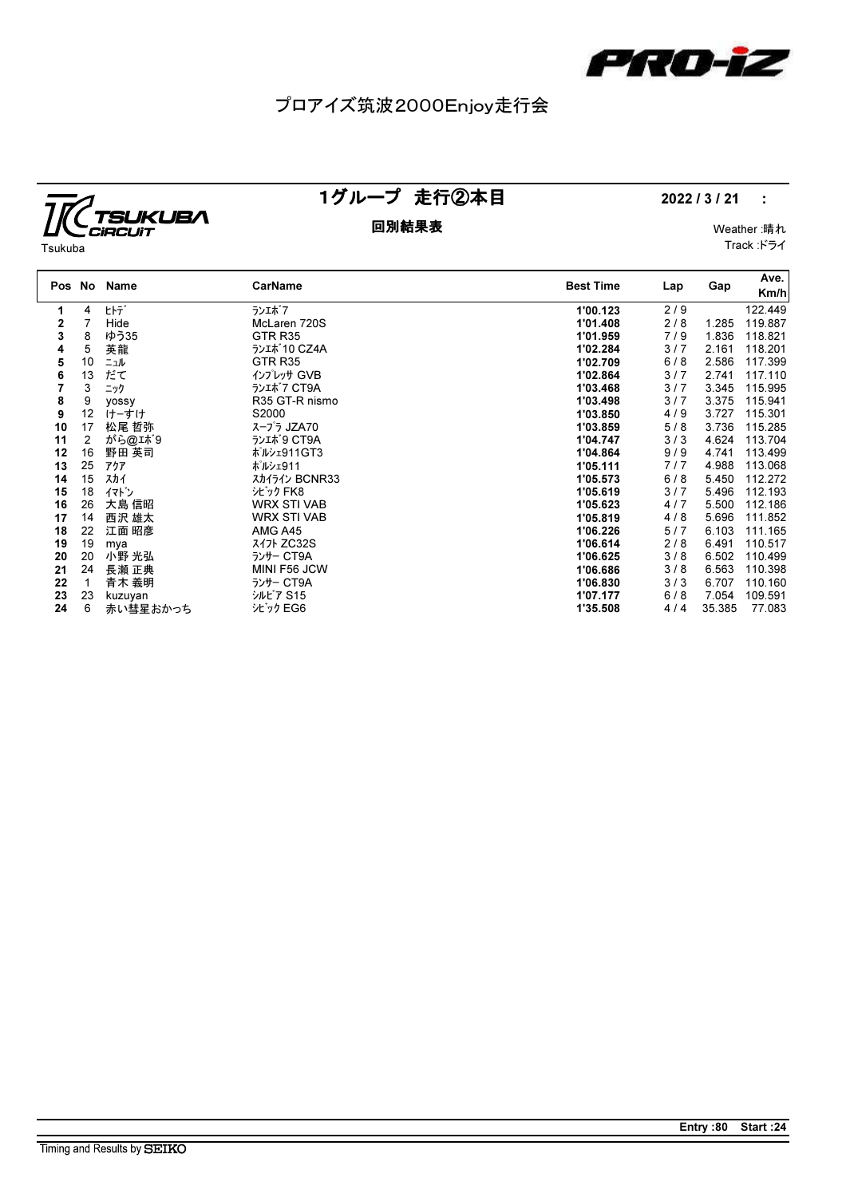

## プロアイズ筑波2000Enjoy走行会

# J<br>**TSUKUBA**<br>GIRCUIT Tsukuba

### 1グループ 走行②本目 2022 / 3 / 21 :

回別結果表 Weather :晴れ Track :ドライ

| Pos No |    | Name         | CarName            | <b>Best Time</b> | Lap | Gap    | Ave.<br>Km/h |
|--------|----|--------------|--------------------|------------------|-----|--------|--------------|
| 1      | 4  | ヒトデ          | ランエボフ              | 1'00.123         | 2/9 |        | 122.449      |
| 2      |    | Hide         | McLaren 720S       | 1'01.408         | 2/8 | 1.285  | 119.887      |
| 3      | 8  | ゆう35         | GTR <sub>R35</sub> | 1'01.959         | 7/9 | 1.836  | 118.821      |
| 4      | 5  | 英龍           | ランエポ 10 CZ4A       | 1'02.284         | 3/7 | 2.161  | 118.201      |
| 5      | 10 | ニュル          | GTR <sub>R35</sub> | 1'02.709         | 6/8 | 2.586  | 117.399      |
| 6      | 13 | だて           | インプレッサ GVB         | 1'02.864         | 3/7 | 2.741  | 117.110      |
| 7      | 3  | ニック          | ランエポ7 CT9A         | 1'03.468         | 3/7 | 3.345  | 115.995      |
| 8      | 9  | <b>VOSSV</b> | R35 GT-R nismo     | 1'03.498         | 3/7 | 3.375  | 115.941      |
| 9      | 12 | けーすけ         | S2000              | 1'03.850         | 4/9 | 3.727  | 115.301      |
| 10     | 17 | 松尾 哲弥        | スープラ JZA70         | 1'03.859         | 5/8 | 3.736  | 115.285      |
| 11     | 2  | がら@エボ9       | ランエポ9 CT9A         | 1'04.747         | 3/3 | 4.624  | 113.704      |
| 12     | 16 | 野田 英司        | ポルシェ911GT3         | 1'04.864         | 9/9 | 4.741  | 113.499      |
| 13     | 25 | アクア          | ポルシェ911            | 1'05.111         | 7/7 | 4.988  | 113.068      |
| 14     | 15 | スカイ          | スカイライン BCNR33      | 1'05.573         | 6/8 | 5.450  | 112.272      |
| 15     | 18 | イマドン         | シビック FK8           | 1'05.619         | 3/7 | 5.496  | 112.193      |
| 16     | 26 | 大島 信昭        | <b>WRX STI VAB</b> | 1'05.623         | 4/7 | 5.500  | 112.186      |
| 17     | 14 | 西沢 雄太        | <b>WRX STI VAB</b> | 1'05.819         | 4/8 | 5.696  | 111.852      |
| 18     | 22 | 江面 昭彦        | AMG A45            | 1'06.226         | 5/7 | 6.103  | 111.165      |
| 19     | 19 | mya          | スイ가 ZC32S          | 1'06.614         | 2/8 | 6.491  | 110.517      |
| 20     | 20 | 小野 光弘        | ランサー CT9A          | 1'06.625         | 3/8 | 6.502  | 110.499      |
| 21     | 24 | 長瀬 正典        | MINI F56 JCW       | 1'06.686         | 3/8 | 6.563  | 110.398      |
| 22     |    | 青木 義明        | ランサー CT9A          | 1'06.830         | 3/3 | 6.707  | 110.160      |
| 23     | 23 | kuzuyan      | シルビア S15           | 1'07.177         | 6/8 | 7.054  | 109.591      |
| 24     | 6  | 赤い彗星おかっち     | シビック EG6           | 1'35.508         | 4/4 | 35.385 | 77.083       |